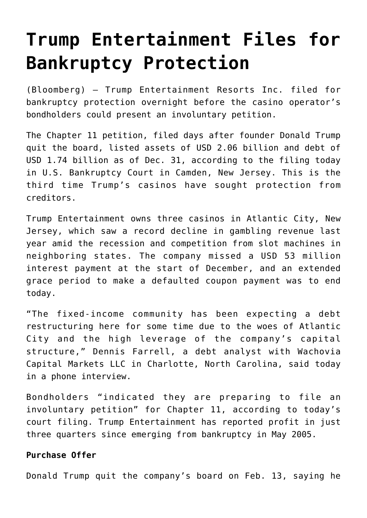# **[Trump Entertainment Files for](https://www.isa-guide.de/english-news/articles/24625.html) [Bankruptcy Protection](https://www.isa-guide.de/english-news/articles/24625.html)**

(Bloomberg) – Trump Entertainment Resorts Inc. filed for bankruptcy protection overnight before the casino operator's bondholders could present an involuntary petition.

The Chapter 11 petition, filed days after founder Donald Trump quit the board, listed assets of USD 2.06 billion and debt of USD 1.74 billion as of Dec. 31, according to the filing today in U.S. Bankruptcy Court in Camden, New Jersey. This is the third time Trump's casinos have sought protection from creditors.

Trump Entertainment owns three casinos in Atlantic City, New Jersey, which saw a record decline in gambling revenue last year amid the recession and competition from slot machines in neighboring states. The company missed a USD 53 million interest payment at the start of December, and an extended grace period to make a defaulted coupon payment was to end today.

"The fixed-income community has been expecting a debt restructuring here for some time due to the woes of Atlantic City and the high leverage of the company's capital structure," Dennis Farrell, a debt analyst with Wachovia Capital Markets LLC in Charlotte, North Carolina, said today in a phone interview.

Bondholders "indicated they are preparing to file an involuntary petition" for Chapter 11, according to today's court filing. Trump Entertainment has reported profit in just three quarters since emerging from bankruptcy in May 2005.

## **Purchase Offer**

Donald Trump quit the company's board on Feb. 13, saying he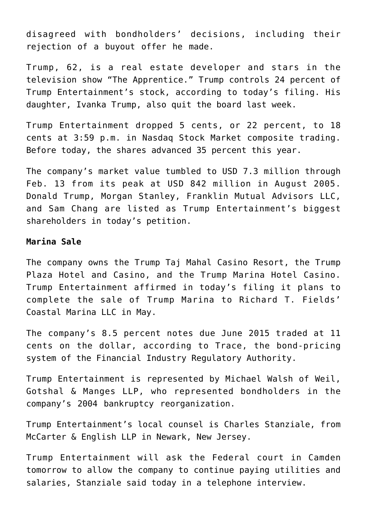disagreed with bondholders' decisions, including their rejection of a buyout offer he made.

Trump, 62, is a real estate developer and stars in the television show "The Apprentice." Trump controls 24 percent of Trump Entertainment's stock, according to today's filing. His daughter, Ivanka Trump, also quit the board last week.

Trump Entertainment dropped 5 cents, or 22 percent, to 18 cents at 3:59 p.m. in Nasdaq Stock Market composite trading. Before today, the shares advanced 35 percent this year.

The company's market value tumbled to USD 7.3 million through Feb. 13 from its peak at USD 842 million in August 2005. Donald Trump, Morgan Stanley, Franklin Mutual Advisors LLC, and Sam Chang are listed as Trump Entertainment's biggest shareholders in today's petition.

### **Marina Sale**

The company owns the Trump Taj Mahal Casino Resort, the Trump Plaza Hotel and Casino, and the Trump Marina Hotel Casino. Trump Entertainment affirmed in today's filing it plans to complete the sale of Trump Marina to Richard T. Fields' Coastal Marina LLC in May.

The company's 8.5 percent notes due June 2015 traded at 11 cents on the dollar, according to Trace, the bond-pricing system of the Financial Industry Regulatory Authority.

Trump Entertainment is represented by Michael Walsh of Weil, Gotshal & Manges LLP, who represented bondholders in the company's 2004 bankruptcy reorganization.

Trump Entertainment's local counsel is Charles Stanziale, from McCarter & English LLP in Newark, New Jersey.

Trump Entertainment will ask the Federal court in Camden tomorrow to allow the company to continue paying utilities and salaries, Stanziale said today in a telephone interview.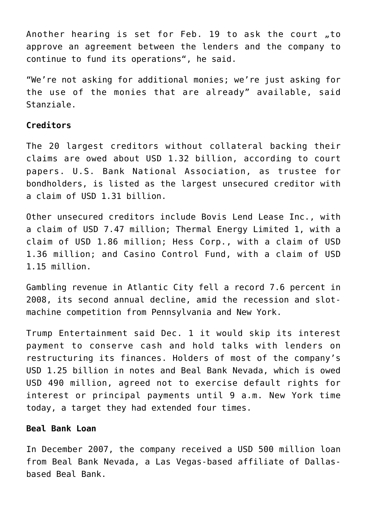Another hearing is set for Feb. 19 to ask the court  $,$  to approve an agreement between the lenders and the company to continue to fund its operations", he said.

"We're not asking for additional monies; we're just asking for the use of the monies that are already" available, said Stanziale.

#### **Creditors**

The 20 largest creditors without collateral backing their claims are owed about USD 1.32 billion, according to court papers. U.S. Bank National Association, as trustee for bondholders, is listed as the largest unsecured creditor with a claim of USD 1.31 billion.

Other unsecured creditors include Bovis Lend Lease Inc., with a claim of USD 7.47 million; Thermal Energy Limited 1, with a claim of USD 1.86 million; Hess Corp., with a claim of USD 1.36 million; and Casino Control Fund, with a claim of USD 1.15 million.

Gambling revenue in Atlantic City fell a record 7.6 percent in 2008, its second annual decline, amid the recession and slotmachine competition from Pennsylvania and New York.

Trump Entertainment said Dec. 1 it would skip its interest payment to conserve cash and hold talks with lenders on restructuring its finances. Holders of most of the company's USD 1.25 billion in notes and Beal Bank Nevada, which is owed USD 490 million, agreed not to exercise default rights for interest or principal payments until 9 a.m. New York time today, a target they had extended four times.

#### **Beal Bank Loan**

In December 2007, the company received a USD 500 million loan from Beal Bank Nevada, a Las Vegas-based affiliate of Dallasbased Beal Bank.